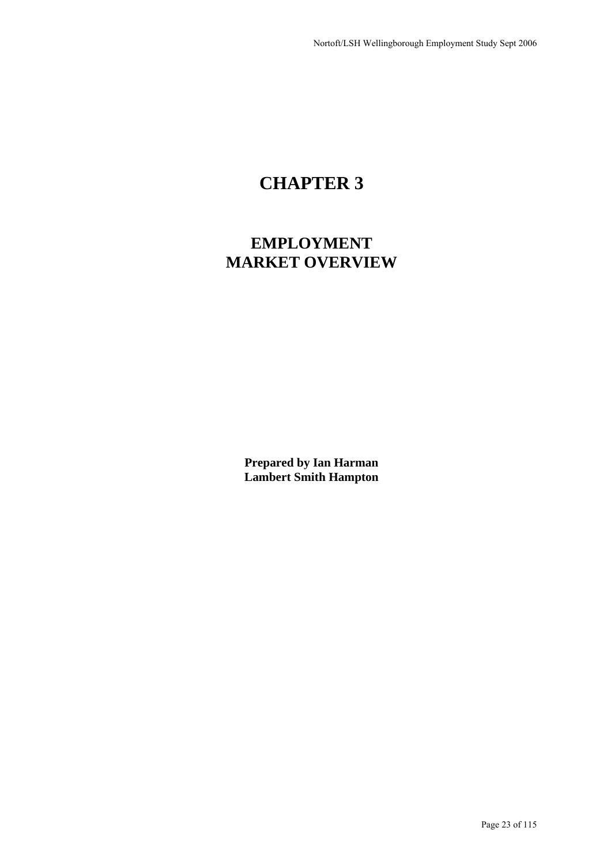# **CHAPTER 3**

## **EMPLOYMENT MARKET OVERVIEW**

**Prepared by Ian Harman Lambert Smith Hampton**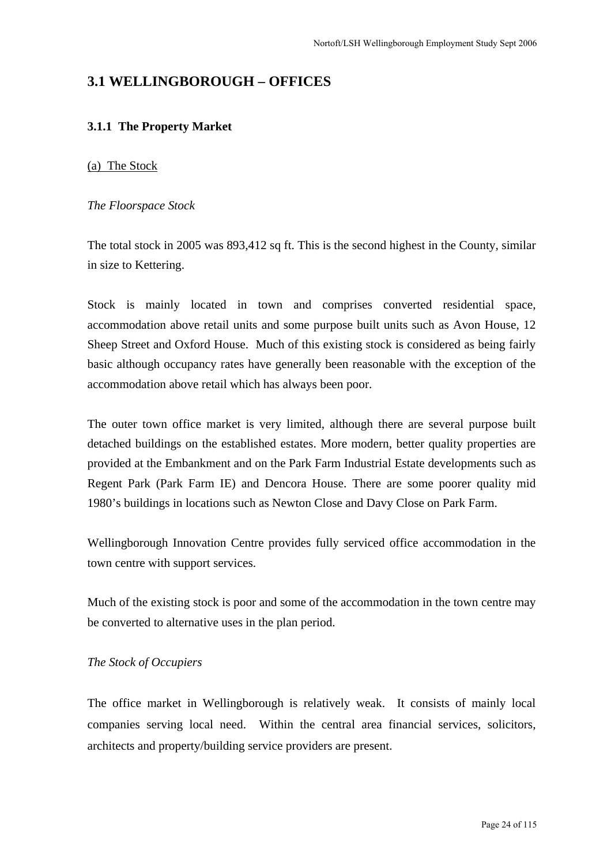## **3.1 WELLINGBOROUGH – OFFICES**

## **3.1.1 The Property Market**

#### (a) The Stock

#### *The Floorspace Stock*

The total stock in 2005 was 893,412 sq ft. This is the second highest in the County, similar in size to Kettering.

Stock is mainly located in town and comprises converted residential space, accommodation above retail units and some purpose built units such as Avon House, 12 Sheep Street and Oxford House. Much of this existing stock is considered as being fairly basic although occupancy rates have generally been reasonable with the exception of the accommodation above retail which has always been poor.

The outer town office market is very limited, although there are several purpose built detached buildings on the established estates. More modern, better quality properties are provided at the Embankment and on the Park Farm Industrial Estate developments such as Regent Park (Park Farm IE) and Dencora House. There are some poorer quality mid 1980's buildings in locations such as Newton Close and Davy Close on Park Farm.

Wellingborough Innovation Centre provides fully serviced office accommodation in the town centre with support services.

Much of the existing stock is poor and some of the accommodation in the town centre may be converted to alternative uses in the plan period.

## *The Stock of Occupiers*

The office market in Wellingborough is relatively weak. It consists of mainly local companies serving local need. Within the central area financial services, solicitors, architects and property/building service providers are present.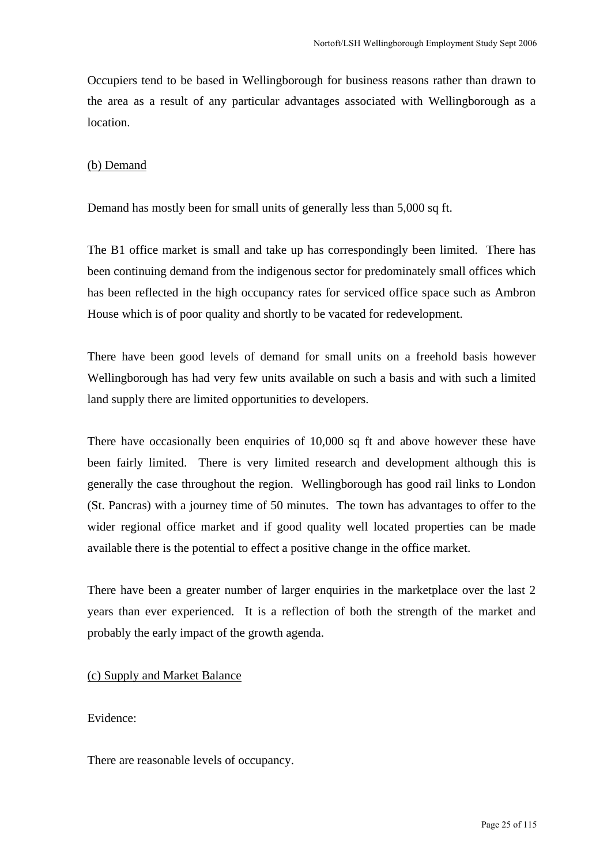Occupiers tend to be based in Wellingborough for business reasons rather than drawn to the area as a result of any particular advantages associated with Wellingborough as a location.

#### (b) Demand

Demand has mostly been for small units of generally less than 5,000 sq ft.

The B1 office market is small and take up has correspondingly been limited. There has been continuing demand from the indigenous sector for predominately small offices which has been reflected in the high occupancy rates for serviced office space such as Ambron House which is of poor quality and shortly to be vacated for redevelopment.

There have been good levels of demand for small units on a freehold basis however Wellingborough has had very few units available on such a basis and with such a limited land supply there are limited opportunities to developers.

There have occasionally been enquiries of 10,000 sq ft and above however these have been fairly limited. There is very limited research and development although this is generally the case throughout the region. Wellingborough has good rail links to London (St. Pancras) with a journey time of 50 minutes. The town has advantages to offer to the wider regional office market and if good quality well located properties can be made available there is the potential to effect a positive change in the office market.

There have been a greater number of larger enquiries in the marketplace over the last 2 years than ever experienced. It is a reflection of both the strength of the market and probably the early impact of the growth agenda.

## (c) Supply and Market Balance

## Evidence:

There are reasonable levels of occupancy.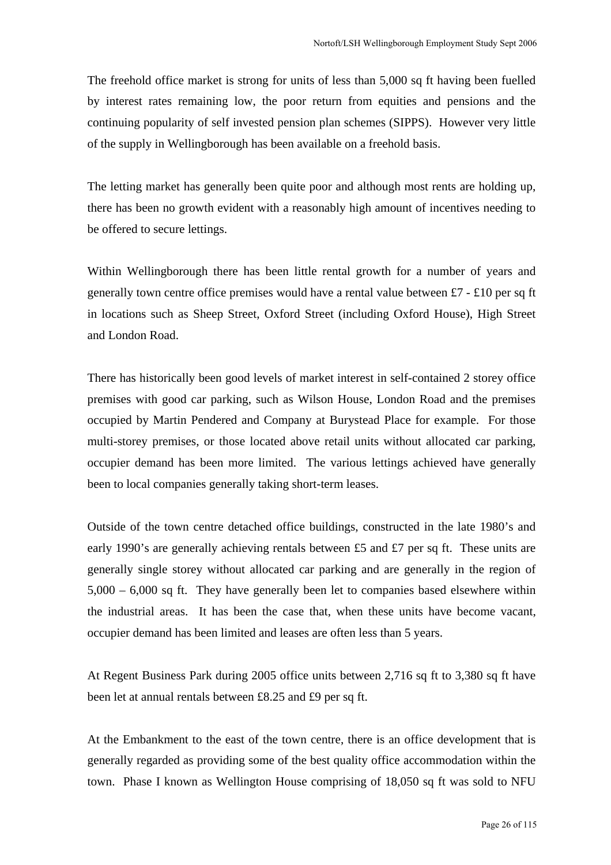The freehold office market is strong for units of less than 5,000 sq ft having been fuelled by interest rates remaining low, the poor return from equities and pensions and the continuing popularity of self invested pension plan schemes (SIPPS). However very little of the supply in Wellingborough has been available on a freehold basis.

The letting market has generally been quite poor and although most rents are holding up, there has been no growth evident with a reasonably high amount of incentives needing to be offered to secure lettings.

Within Wellingborough there has been little rental growth for a number of years and generally town centre office premises would have a rental value between £7 - £10 per sq ft in locations such as Sheep Street, Oxford Street (including Oxford House), High Street and London Road.

There has historically been good levels of market interest in self-contained 2 storey office premises with good car parking, such as Wilson House, London Road and the premises occupied by Martin Pendered and Company at Burystead Place for example. For those multi-storey premises, or those located above retail units without allocated car parking, occupier demand has been more limited. The various lettings achieved have generally been to local companies generally taking short-term leases.

Outside of the town centre detached office buildings, constructed in the late 1980's and early 1990's are generally achieving rentals between £5 and £7 per sq ft. These units are generally single storey without allocated car parking and are generally in the region of 5,000 – 6,000 sq ft. They have generally been let to companies based elsewhere within the industrial areas. It has been the case that, when these units have become vacant, occupier demand has been limited and leases are often less than 5 years.

At Regent Business Park during 2005 office units between 2,716 sq ft to 3,380 sq ft have been let at annual rentals between £8.25 and £9 per sq ft.

At the Embankment to the east of the town centre, there is an office development that is generally regarded as providing some of the best quality office accommodation within the town. Phase I known as Wellington House comprising of 18,050 sq ft was sold to NFU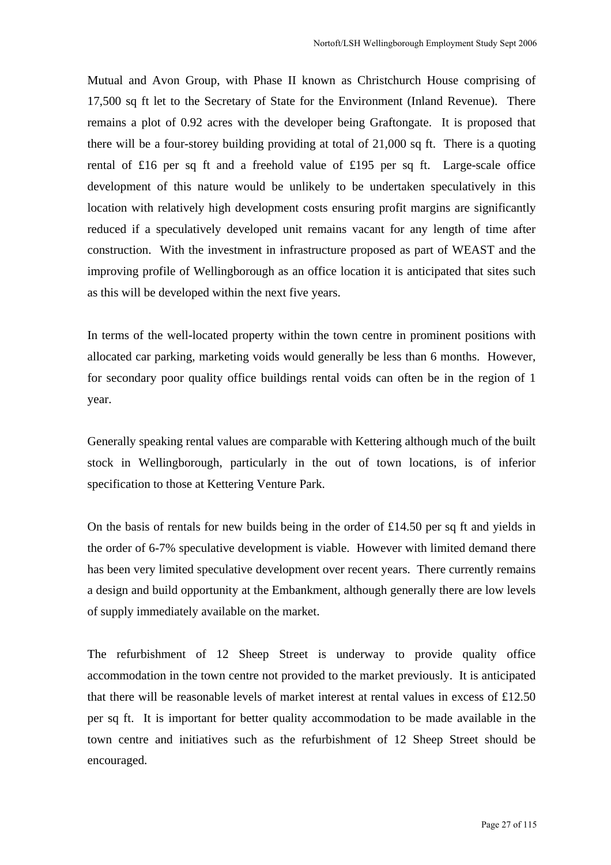Mutual and Avon Group, with Phase II known as Christchurch House comprising of 17,500 sq ft let to the Secretary of State for the Environment (Inland Revenue). There remains a plot of 0.92 acres with the developer being Graftongate. It is proposed that there will be a four-storey building providing at total of 21,000 sq ft. There is a quoting rental of £16 per sq ft and a freehold value of £195 per sq ft. Large-scale office development of this nature would be unlikely to be undertaken speculatively in this location with relatively high development costs ensuring profit margins are significantly reduced if a speculatively developed unit remains vacant for any length of time after construction. With the investment in infrastructure proposed as part of WEAST and the improving profile of Wellingborough as an office location it is anticipated that sites such as this will be developed within the next five years.

In terms of the well-located property within the town centre in prominent positions with allocated car parking, marketing voids would generally be less than 6 months. However, for secondary poor quality office buildings rental voids can often be in the region of 1 year.

Generally speaking rental values are comparable with Kettering although much of the built stock in Wellingborough, particularly in the out of town locations, is of inferior specification to those at Kettering Venture Park.

On the basis of rentals for new builds being in the order of £14.50 per sq ft and yields in the order of 6-7% speculative development is viable. However with limited demand there has been very limited speculative development over recent years. There currently remains a design and build opportunity at the Embankment, although generally there are low levels of supply immediately available on the market.

The refurbishment of 12 Sheep Street is underway to provide quality office accommodation in the town centre not provided to the market previously. It is anticipated that there will be reasonable levels of market interest at rental values in excess of £12.50 per sq ft. It is important for better quality accommodation to be made available in the town centre and initiatives such as the refurbishment of 12 Sheep Street should be encouraged.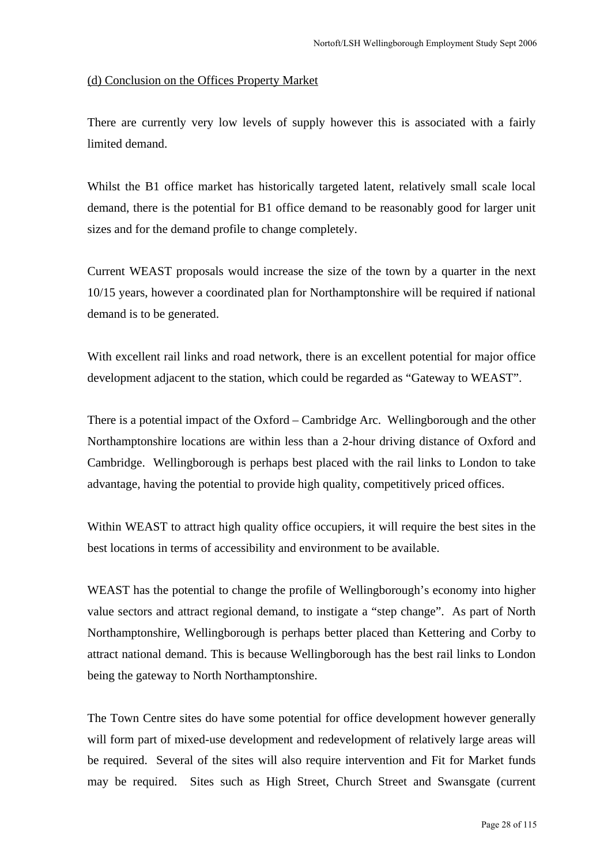#### (d) Conclusion on the Offices Property Market

There are currently very low levels of supply however this is associated with a fairly limited demand.

Whilst the B1 office market has historically targeted latent, relatively small scale local demand, there is the potential for B1 office demand to be reasonably good for larger unit sizes and for the demand profile to change completely.

Current WEAST proposals would increase the size of the town by a quarter in the next 10/15 years, however a coordinated plan for Northamptonshire will be required if national demand is to be generated.

With excellent rail links and road network, there is an excellent potential for major office development adjacent to the station, which could be regarded as "Gateway to WEAST".

There is a potential impact of the Oxford – Cambridge Arc. Wellingborough and the other Northamptonshire locations are within less than a 2-hour driving distance of Oxford and Cambridge. Wellingborough is perhaps best placed with the rail links to London to take advantage, having the potential to provide high quality, competitively priced offices.

Within WEAST to attract high quality office occupiers, it will require the best sites in the best locations in terms of accessibility and environment to be available.

WEAST has the potential to change the profile of Wellingborough's economy into higher value sectors and attract regional demand, to instigate a "step change". As part of North Northamptonshire, Wellingborough is perhaps better placed than Kettering and Corby to attract national demand. This is because Wellingborough has the best rail links to London being the gateway to North Northamptonshire.

The Town Centre sites do have some potential for office development however generally will form part of mixed-use development and redevelopment of relatively large areas will be required. Several of the sites will also require intervention and Fit for Market funds may be required. Sites such as High Street, Church Street and Swansgate (current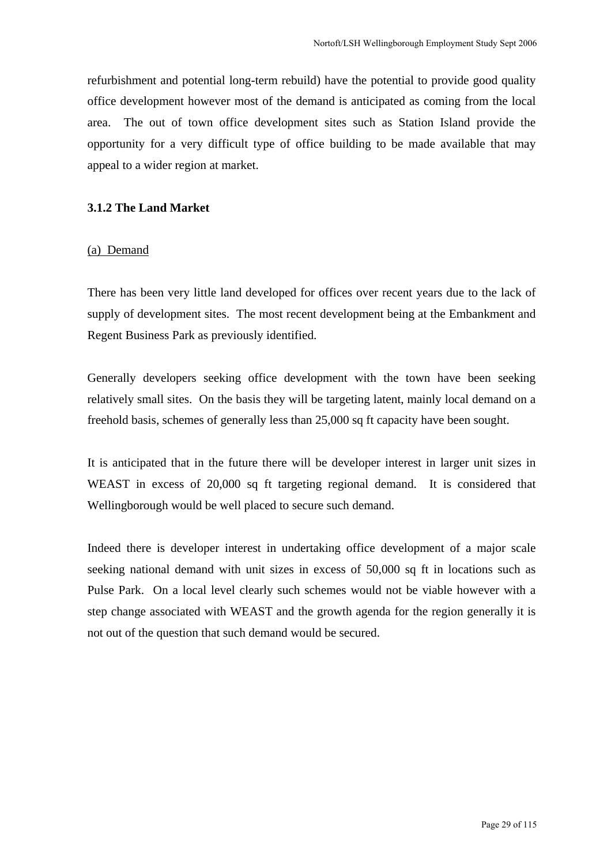refurbishment and potential long-term rebuild) have the potential to provide good quality office development however most of the demand is anticipated as coming from the local area. The out of town office development sites such as Station Island provide the opportunity for a very difficult type of office building to be made available that may appeal to a wider region at market.

#### **3.1.2 The Land Market**

#### (a) Demand

There has been very little land developed for offices over recent years due to the lack of supply of development sites. The most recent development being at the Embankment and Regent Business Park as previously identified.

Generally developers seeking office development with the town have been seeking relatively small sites. On the basis they will be targeting latent, mainly local demand on a freehold basis, schemes of generally less than 25,000 sq ft capacity have been sought.

It is anticipated that in the future there will be developer interest in larger unit sizes in WEAST in excess of 20,000 sq ft targeting regional demand. It is considered that Wellingborough would be well placed to secure such demand.

Indeed there is developer interest in undertaking office development of a major scale seeking national demand with unit sizes in excess of 50,000 sq ft in locations such as Pulse Park. On a local level clearly such schemes would not be viable however with a step change associated with WEAST and the growth agenda for the region generally it is not out of the question that such demand would be secured.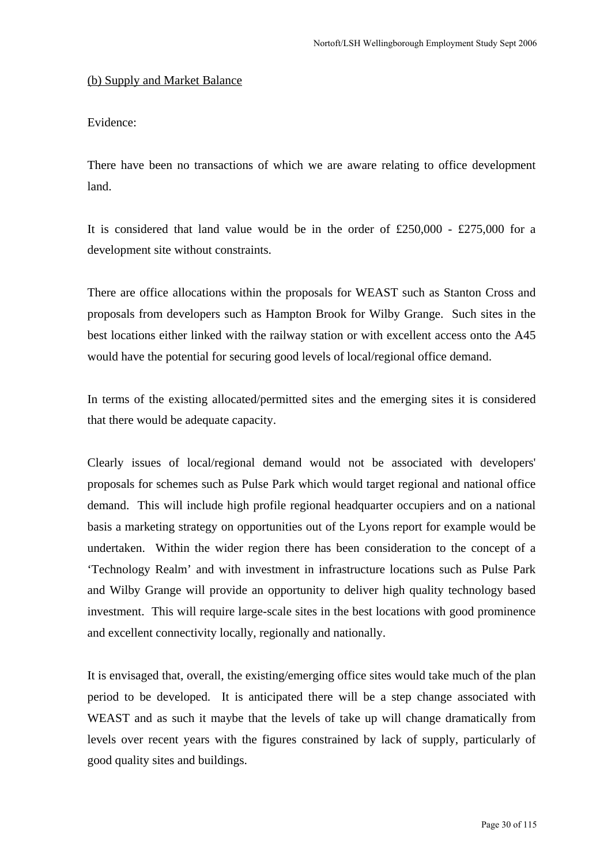#### (b) Supply and Market Balance

## Evidence:

There have been no transactions of which we are aware relating to office development land.

It is considered that land value would be in the order of  $£250,000 - £275,000$  for a development site without constraints.

There are office allocations within the proposals for WEAST such as Stanton Cross and proposals from developers such as Hampton Brook for Wilby Grange. Such sites in the best locations either linked with the railway station or with excellent access onto the A45 would have the potential for securing good levels of local/regional office demand.

In terms of the existing allocated/permitted sites and the emerging sites it is considered that there would be adequate capacity.

Clearly issues of local/regional demand would not be associated with developers' proposals for schemes such as Pulse Park which would target regional and national office demand. This will include high profile regional headquarter occupiers and on a national basis a marketing strategy on opportunities out of the Lyons report for example would be undertaken. Within the wider region there has been consideration to the concept of a 'Technology Realm' and with investment in infrastructure locations such as Pulse Park and Wilby Grange will provide an opportunity to deliver high quality technology based investment. This will require large-scale sites in the best locations with good prominence and excellent connectivity locally, regionally and nationally.

It is envisaged that, overall, the existing/emerging office sites would take much of the plan period to be developed. It is anticipated there will be a step change associated with WEAST and as such it maybe that the levels of take up will change dramatically from levels over recent years with the figures constrained by lack of supply, particularly of good quality sites and buildings.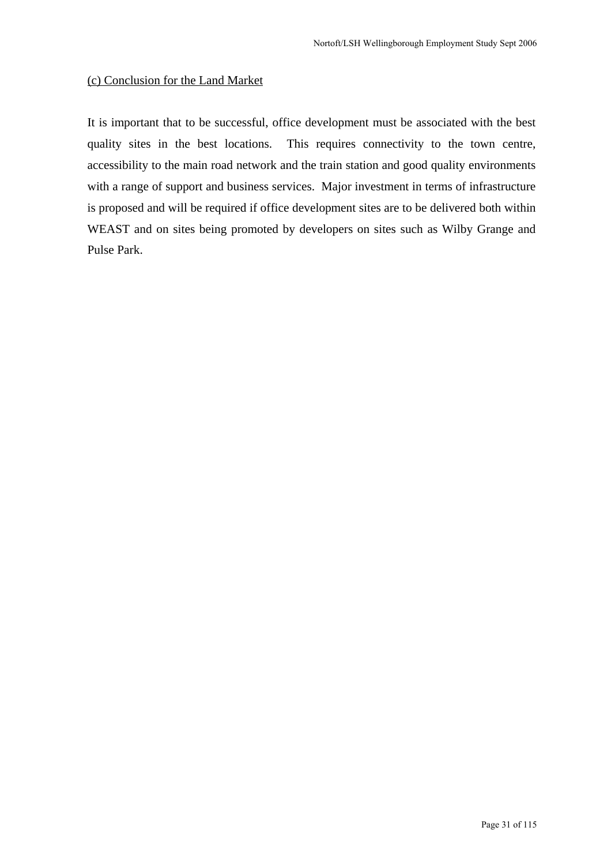## (c) Conclusion for the Land Market

It is important that to be successful, office development must be associated with the best quality sites in the best locations. This requires connectivity to the town centre, accessibility to the main road network and the train station and good quality environments with a range of support and business services. Major investment in terms of infrastructure is proposed and will be required if office development sites are to be delivered both within WEAST and on sites being promoted by developers on sites such as Wilby Grange and Pulse Park.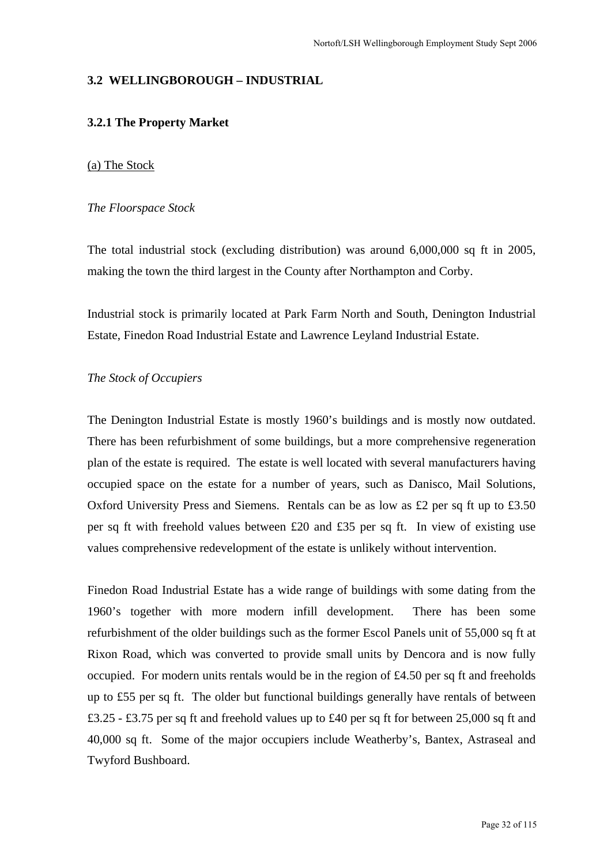#### **3.2 WELLINGBOROUGH – INDUSTRIAL**

#### **3.2.1 The Property Market**

#### (a) The Stock

#### *The Floorspace Stock*

The total industrial stock (excluding distribution) was around 6,000,000 sq ft in 2005, making the town the third largest in the County after Northampton and Corby.

Industrial stock is primarily located at Park Farm North and South, Denington Industrial Estate, Finedon Road Industrial Estate and Lawrence Leyland Industrial Estate.

#### *The Stock of Occupiers*

The Denington Industrial Estate is mostly 1960's buildings and is mostly now outdated. There has been refurbishment of some buildings, but a more comprehensive regeneration plan of the estate is required. The estate is well located with several manufacturers having occupied space on the estate for a number of years, such as Danisco, Mail Solutions, Oxford University Press and Siemens. Rentals can be as low as £2 per sq ft up to £3.50 per sq ft with freehold values between £20 and £35 per sq ft. In view of existing use values comprehensive redevelopment of the estate is unlikely without intervention.

Finedon Road Industrial Estate has a wide range of buildings with some dating from the 1960's together with more modern infill development. There has been some refurbishment of the older buildings such as the former Escol Panels unit of 55,000 sq ft at Rixon Road, which was converted to provide small units by Dencora and is now fully occupied. For modern units rentals would be in the region of £4.50 per sq ft and freeholds up to £55 per sq ft. The older but functional buildings generally have rentals of between £3.25 - £3.75 per sq ft and freehold values up to £40 per sq ft for between 25,000 sq ft and 40,000 sq ft. Some of the major occupiers include Weatherby's, Bantex, Astraseal and Twyford Bushboard.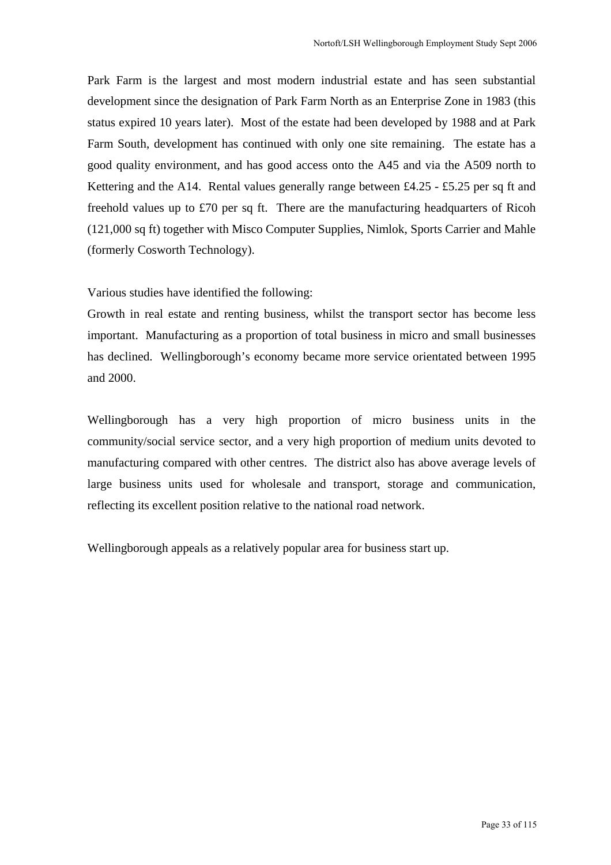Park Farm is the largest and most modern industrial estate and has seen substantial development since the designation of Park Farm North as an Enterprise Zone in 1983 (this status expired 10 years later). Most of the estate had been developed by 1988 and at Park Farm South, development has continued with only one site remaining. The estate has a good quality environment, and has good access onto the A45 and via the A509 north to Kettering and the A14. Rental values generally range between £4.25 - £5.25 per sq ft and freehold values up to £70 per sq ft. There are the manufacturing headquarters of Ricoh (121,000 sq ft) together with Misco Computer Supplies, Nimlok, Sports Carrier and Mahle (formerly Cosworth Technology).

Various studies have identified the following:

Growth in real estate and renting business, whilst the transport sector has become less important. Manufacturing as a proportion of total business in micro and small businesses has declined. Wellingborough's economy became more service orientated between 1995 and 2000.

Wellingborough has a very high proportion of micro business units in the community/social service sector, and a very high proportion of medium units devoted to manufacturing compared with other centres. The district also has above average levels of large business units used for wholesale and transport, storage and communication, reflecting its excellent position relative to the national road network.

Wellingborough appeals as a relatively popular area for business start up.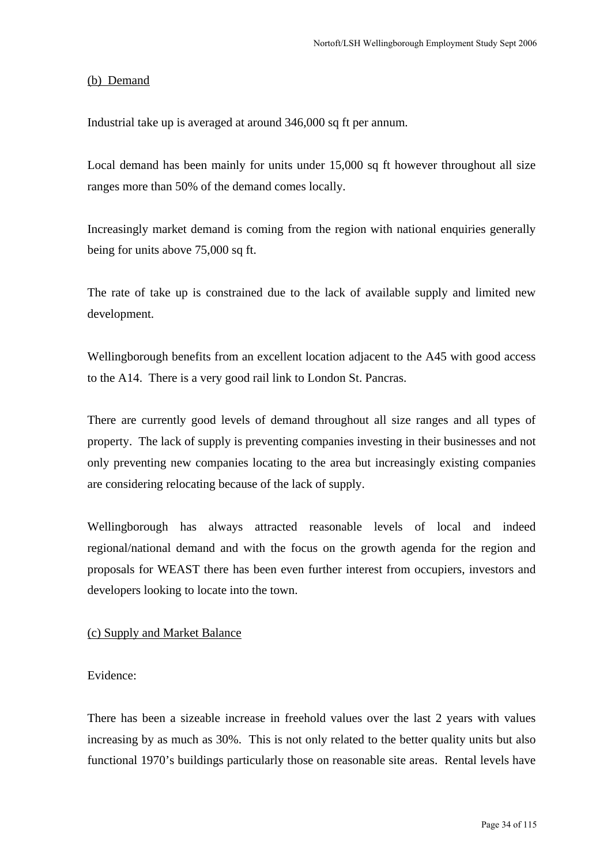#### (b) Demand

Industrial take up is averaged at around 346,000 sq ft per annum.

Local demand has been mainly for units under 15,000 sq ft however throughout all size ranges more than 50% of the demand comes locally.

Increasingly market demand is coming from the region with national enquiries generally being for units above 75,000 sq ft.

The rate of take up is constrained due to the lack of available supply and limited new development.

Wellingborough benefits from an excellent location adjacent to the A45 with good access to the A14. There is a very good rail link to London St. Pancras.

There are currently good levels of demand throughout all size ranges and all types of property. The lack of supply is preventing companies investing in their businesses and not only preventing new companies locating to the area but increasingly existing companies are considering relocating because of the lack of supply.

Wellingborough has always attracted reasonable levels of local and indeed regional/national demand and with the focus on the growth agenda for the region and proposals for WEAST there has been even further interest from occupiers, investors and developers looking to locate into the town.

#### (c) Supply and Market Balance

Evidence:

There has been a sizeable increase in freehold values over the last 2 years with values increasing by as much as 30%. This is not only related to the better quality units but also functional 1970's buildings particularly those on reasonable site areas. Rental levels have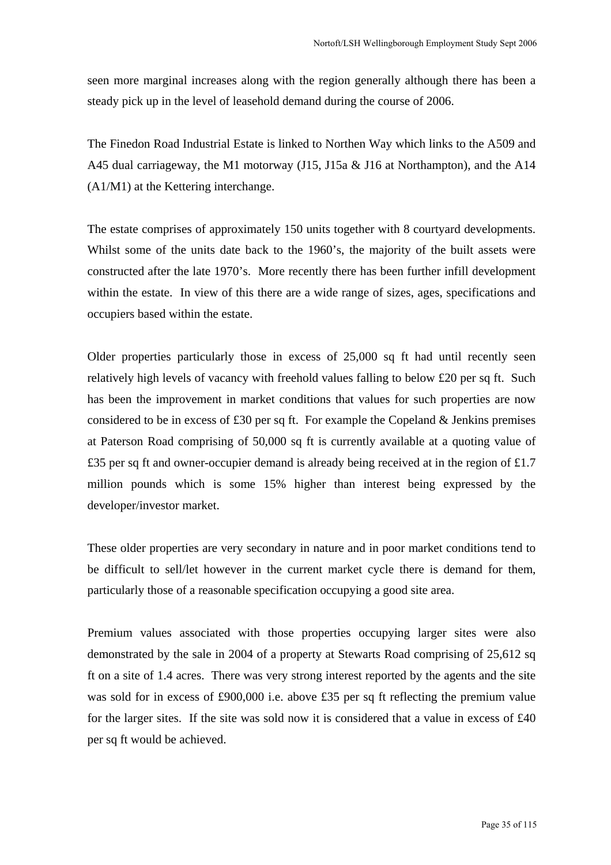seen more marginal increases along with the region generally although there has been a steady pick up in the level of leasehold demand during the course of 2006.

The Finedon Road Industrial Estate is linked to Northen Way which links to the A509 and A45 dual carriageway, the M1 motorway (J15, J15a & J16 at Northampton), and the A14 (A1/M1) at the Kettering interchange.

The estate comprises of approximately 150 units together with 8 courtyard developments. Whilst some of the units date back to the 1960's, the majority of the built assets were constructed after the late 1970's. More recently there has been further infill development within the estate. In view of this there are a wide range of sizes, ages, specifications and occupiers based within the estate.

Older properties particularly those in excess of 25,000 sq ft had until recently seen relatively high levels of vacancy with freehold values falling to below  $\pounds 20$  per sq ft. Such has been the improvement in market conditions that values for such properties are now considered to be in excess of £30 per sq ft. For example the Copeland  $\&$  Jenkins premises at Paterson Road comprising of 50,000 sq ft is currently available at a quoting value of £35 per sq ft and owner-occupier demand is already being received at in the region of  $£1.7$ million pounds which is some 15% higher than interest being expressed by the developer/investor market.

These older properties are very secondary in nature and in poor market conditions tend to be difficult to sell/let however in the current market cycle there is demand for them, particularly those of a reasonable specification occupying a good site area.

Premium values associated with those properties occupying larger sites were also demonstrated by the sale in 2004 of a property at Stewarts Road comprising of 25,612 sq ft on a site of 1.4 acres. There was very strong interest reported by the agents and the site was sold for in excess of £900,000 i.e. above £35 per sq ft reflecting the premium value for the larger sites. If the site was sold now it is considered that a value in excess of £40 per sq ft would be achieved.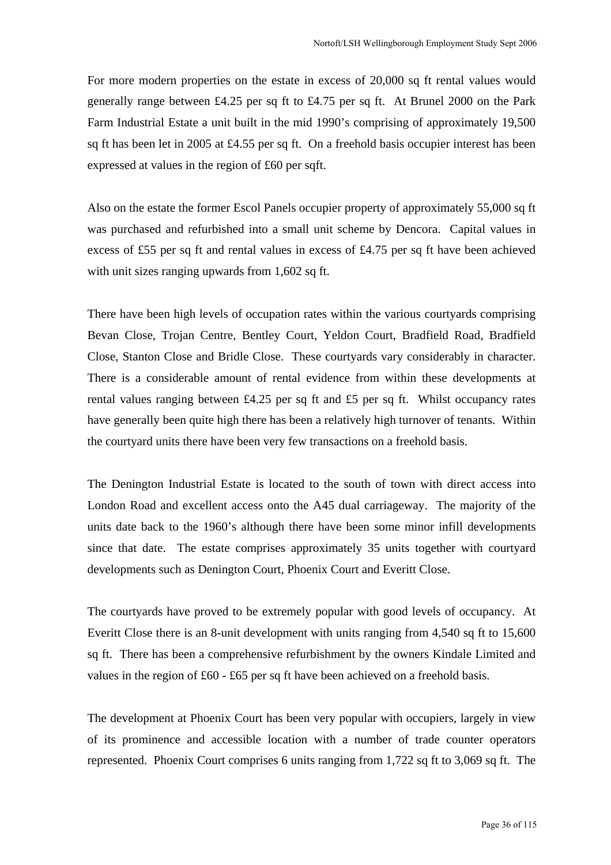For more modern properties on the estate in excess of 20,000 sq ft rental values would generally range between £4.25 per sq ft to £4.75 per sq ft. At Brunel 2000 on the Park Farm Industrial Estate a unit built in the mid 1990's comprising of approximately 19,500 sq ft has been let in 2005 at £4.55 per sq ft. On a freehold basis occupier interest has been expressed at values in the region of £60 per sqft.

Also on the estate the former Escol Panels occupier property of approximately 55,000 sq ft was purchased and refurbished into a small unit scheme by Dencora. Capital values in excess of £55 per sq ft and rental values in excess of £4.75 per sq ft have been achieved with unit sizes ranging upwards from 1,602 sq ft.

There have been high levels of occupation rates within the various courtyards comprising Bevan Close, Trojan Centre, Bentley Court, Yeldon Court, Bradfield Road, Bradfield Close, Stanton Close and Bridle Close. These courtyards vary considerably in character. There is a considerable amount of rental evidence from within these developments at rental values ranging between £4.25 per sq ft and £5 per sq ft. Whilst occupancy rates have generally been quite high there has been a relatively high turnover of tenants. Within the courtyard units there have been very few transactions on a freehold basis.

The Denington Industrial Estate is located to the south of town with direct access into London Road and excellent access onto the A45 dual carriageway. The majority of the units date back to the 1960's although there have been some minor infill developments since that date. The estate comprises approximately 35 units together with courtyard developments such as Denington Court, Phoenix Court and Everitt Close.

The courtyards have proved to be extremely popular with good levels of occupancy. At Everitt Close there is an 8-unit development with units ranging from 4,540 sq ft to 15,600 sq ft. There has been a comprehensive refurbishment by the owners Kindale Limited and values in the region of £60 - £65 per sq ft have been achieved on a freehold basis.

The development at Phoenix Court has been very popular with occupiers, largely in view of its prominence and accessible location with a number of trade counter operators represented. Phoenix Court comprises 6 units ranging from 1,722 sq ft to 3,069 sq ft. The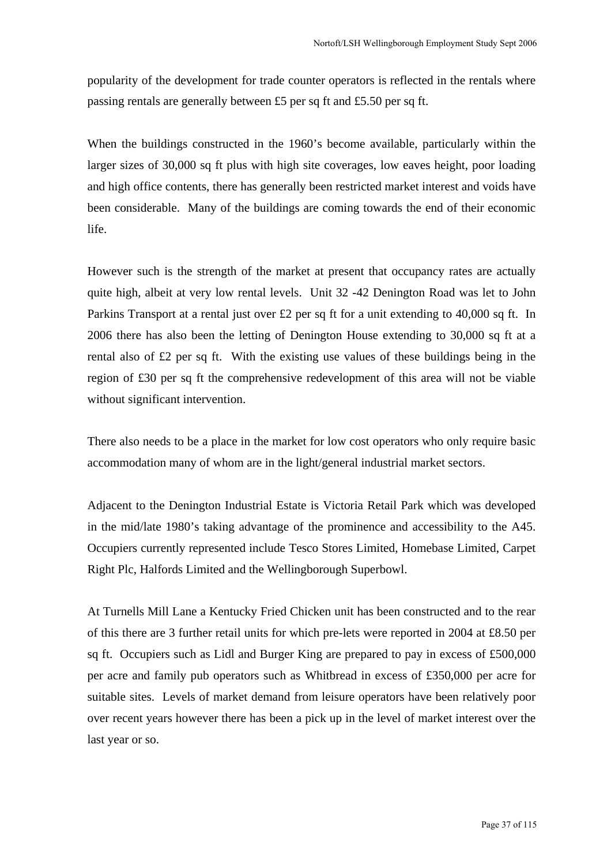popularity of the development for trade counter operators is reflected in the rentals where passing rentals are generally between £5 per sq ft and £5.50 per sq ft.

When the buildings constructed in the 1960's become available, particularly within the larger sizes of 30,000 sq ft plus with high site coverages, low eaves height, poor loading and high office contents, there has generally been restricted market interest and voids have been considerable. Many of the buildings are coming towards the end of their economic life.

However such is the strength of the market at present that occupancy rates are actually quite high, albeit at very low rental levels. Unit 32 -42 Denington Road was let to John Parkins Transport at a rental just over £2 per sq ft for a unit extending to 40,000 sq ft. In 2006 there has also been the letting of Denington House extending to 30,000 sq ft at a rental also of £2 per sq ft. With the existing use values of these buildings being in the region of £30 per sq ft the comprehensive redevelopment of this area will not be viable without significant intervention.

There also needs to be a place in the market for low cost operators who only require basic accommodation many of whom are in the light/general industrial market sectors.

Adjacent to the Denington Industrial Estate is Victoria Retail Park which was developed in the mid/late 1980's taking advantage of the prominence and accessibility to the A45. Occupiers currently represented include Tesco Stores Limited, Homebase Limited, Carpet Right Plc, Halfords Limited and the Wellingborough Superbowl.

At Turnells Mill Lane a Kentucky Fried Chicken unit has been constructed and to the rear of this there are 3 further retail units for which pre-lets were reported in 2004 at £8.50 per sq ft. Occupiers such as Lidl and Burger King are prepared to pay in excess of £500,000 per acre and family pub operators such as Whitbread in excess of £350,000 per acre for suitable sites. Levels of market demand from leisure operators have been relatively poor over recent years however there has been a pick up in the level of market interest over the last year or so.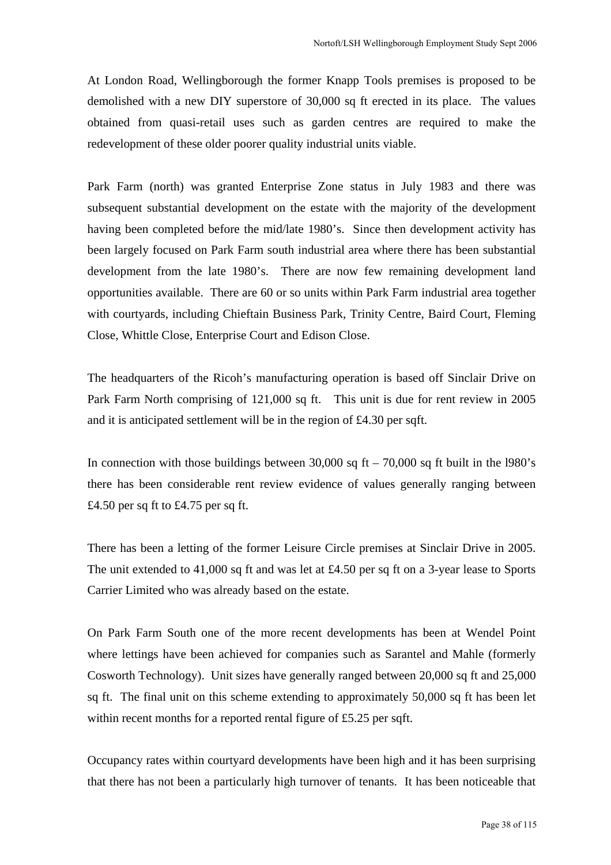At London Road, Wellingborough the former Knapp Tools premises is proposed to be demolished with a new DIY superstore of 30,000 sq ft erected in its place. The values obtained from quasi-retail uses such as garden centres are required to make the redevelopment of these older poorer quality industrial units viable.

Park Farm (north) was granted Enterprise Zone status in July 1983 and there was subsequent substantial development on the estate with the majority of the development having been completed before the mid/late 1980's. Since then development activity has been largely focused on Park Farm south industrial area where there has been substantial development from the late 1980's. There are now few remaining development land opportunities available. There are 60 or so units within Park Farm industrial area together with courtyards, including Chieftain Business Park, Trinity Centre, Baird Court, Fleming Close, Whittle Close, Enterprise Court and Edison Close.

The headquarters of the Ricoh's manufacturing operation is based off Sinclair Drive on Park Farm North comprising of 121,000 sq ft. This unit is due for rent review in 2005 and it is anticipated settlement will be in the region of £4.30 per sqft.

In connection with those buildings between  $30,000$  sq ft –  $70,000$  sq ft built in the l980's there has been considerable rent review evidence of values generally ranging between £4.50 per sq ft to £4.75 per sq ft.

There has been a letting of the former Leisure Circle premises at Sinclair Drive in 2005. The unit extended to 41,000 sq ft and was let at £4.50 per sq ft on a 3-year lease to Sports Carrier Limited who was already based on the estate.

On Park Farm South one of the more recent developments has been at Wendel Point where lettings have been achieved for companies such as Sarantel and Mahle (formerly Cosworth Technology). Unit sizes have generally ranged between 20,000 sq ft and 25,000 sq ft. The final unit on this scheme extending to approximately 50,000 sq ft has been let within recent months for a reported rental figure of £5.25 per sqft.

Occupancy rates within courtyard developments have been high and it has been surprising that there has not been a particularly high turnover of tenants. It has been noticeable that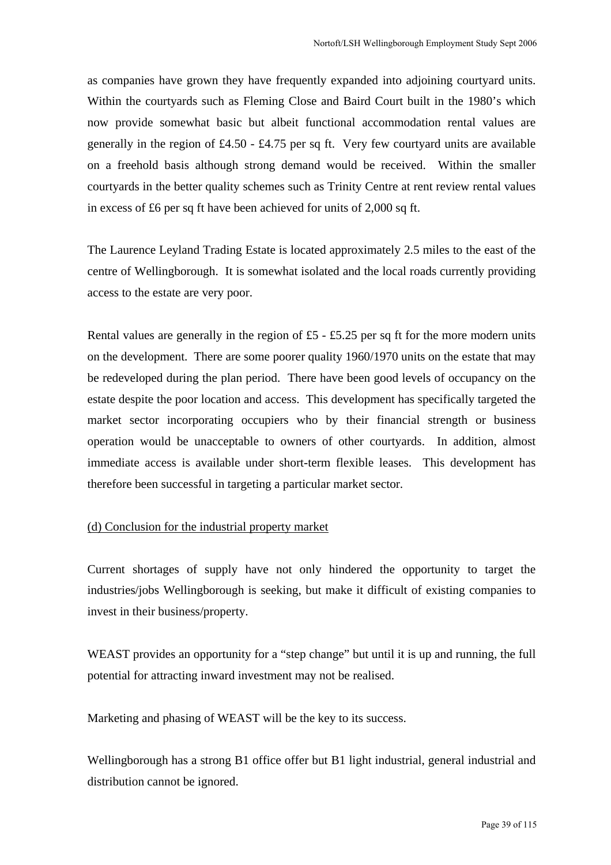as companies have grown they have frequently expanded into adjoining courtyard units. Within the courtyards such as Fleming Close and Baird Court built in the 1980's which now provide somewhat basic but albeit functional accommodation rental values are generally in the region of £4.50 - £4.75 per sq ft. Very few courtyard units are available on a freehold basis although strong demand would be received. Within the smaller courtyards in the better quality schemes such as Trinity Centre at rent review rental values in excess of £6 per sq ft have been achieved for units of 2,000 sq ft.

The Laurence Leyland Trading Estate is located approximately 2.5 miles to the east of the centre of Wellingborough. It is somewhat isolated and the local roads currently providing access to the estate are very poor.

Rental values are generally in the region of  $£5 - £5.25$  per sq ft for the more modern units on the development. There are some poorer quality 1960/1970 units on the estate that may be redeveloped during the plan period. There have been good levels of occupancy on the estate despite the poor location and access. This development has specifically targeted the market sector incorporating occupiers who by their financial strength or business operation would be unacceptable to owners of other courtyards. In addition, almost immediate access is available under short-term flexible leases. This development has therefore been successful in targeting a particular market sector.

#### (d) Conclusion for the industrial property market

Current shortages of supply have not only hindered the opportunity to target the industries/jobs Wellingborough is seeking, but make it difficult of existing companies to invest in their business/property.

WEAST provides an opportunity for a "step change" but until it is up and running, the full potential for attracting inward investment may not be realised.

Marketing and phasing of WEAST will be the key to its success.

Wellingborough has a strong B1 office offer but B1 light industrial, general industrial and distribution cannot be ignored.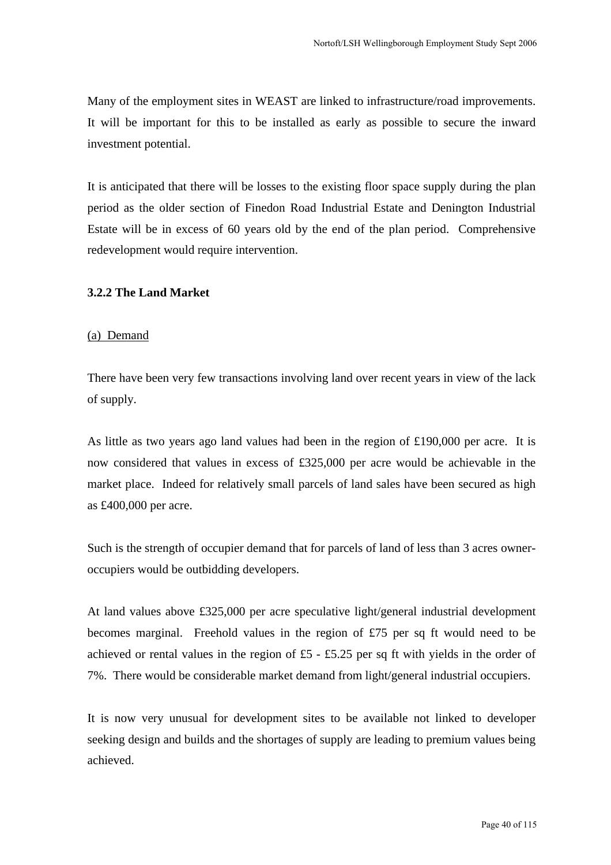Many of the employment sites in WEAST are linked to infrastructure/road improvements. It will be important for this to be installed as early as possible to secure the inward investment potential.

It is anticipated that there will be losses to the existing floor space supply during the plan period as the older section of Finedon Road Industrial Estate and Denington Industrial Estate will be in excess of 60 years old by the end of the plan period. Comprehensive redevelopment would require intervention.

#### **3.2.2 The Land Market**

#### (a) Demand

There have been very few transactions involving land over recent years in view of the lack of supply.

As little as two years ago land values had been in the region of £190,000 per acre. It is now considered that values in excess of £325,000 per acre would be achievable in the market place. Indeed for relatively small parcels of land sales have been secured as high as £400,000 per acre.

Such is the strength of occupier demand that for parcels of land of less than 3 acres owneroccupiers would be outbidding developers.

At land values above £325,000 per acre speculative light/general industrial development becomes marginal. Freehold values in the region of £75 per sq ft would need to be achieved or rental values in the region of £5 - £5.25 per sq ft with yields in the order of 7%. There would be considerable market demand from light/general industrial occupiers.

It is now very unusual for development sites to be available not linked to developer seeking design and builds and the shortages of supply are leading to premium values being achieved.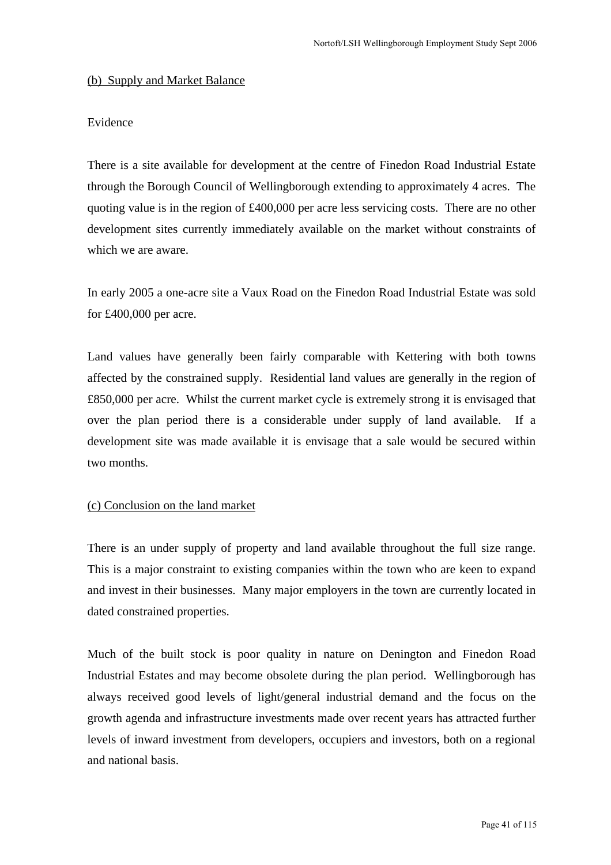#### (b) Supply and Market Balance

## Evidence

There is a site available for development at the centre of Finedon Road Industrial Estate through the Borough Council of Wellingborough extending to approximately 4 acres. The quoting value is in the region of £400,000 per acre less servicing costs. There are no other development sites currently immediately available on the market without constraints of which we are aware.

In early 2005 a one-acre site a Vaux Road on the Finedon Road Industrial Estate was sold for £400,000 per acre.

Land values have generally been fairly comparable with Kettering with both towns affected by the constrained supply. Residential land values are generally in the region of £850,000 per acre. Whilst the current market cycle is extremely strong it is envisaged that over the plan period there is a considerable under supply of land available. If a development site was made available it is envisage that a sale would be secured within two months.

## (c) Conclusion on the land market

There is an under supply of property and land available throughout the full size range. This is a major constraint to existing companies within the town who are keen to expand and invest in their businesses. Many major employers in the town are currently located in dated constrained properties.

Much of the built stock is poor quality in nature on Denington and Finedon Road Industrial Estates and may become obsolete during the plan period. Wellingborough has always received good levels of light/general industrial demand and the focus on the growth agenda and infrastructure investments made over recent years has attracted further levels of inward investment from developers, occupiers and investors, both on a regional and national basis.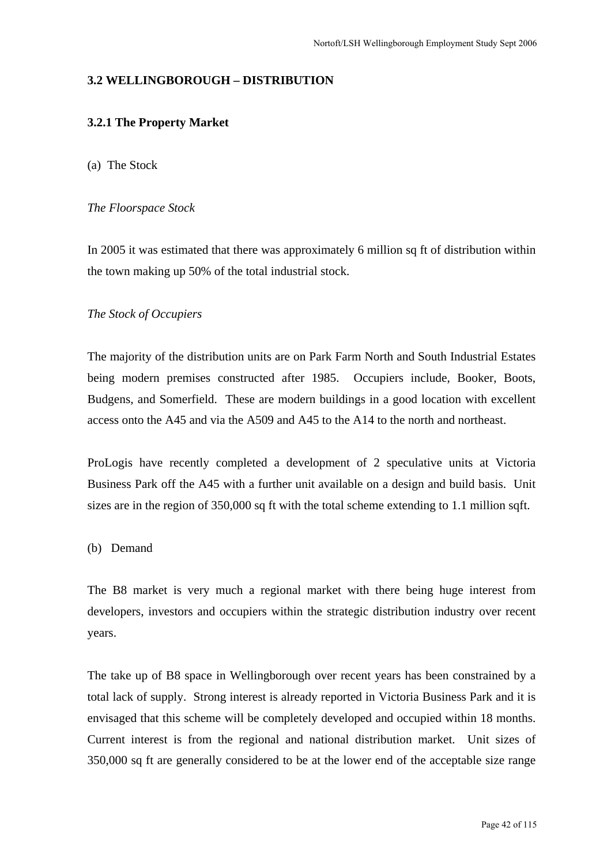## **3.2 WELLINGBOROUGH – DISTRIBUTION**

## **3.2.1 The Property Market**

#### (a) The Stock

#### *The Floorspace Stock*

In 2005 it was estimated that there was approximately 6 million sq ft of distribution within the town making up 50% of the total industrial stock.

#### *The Stock of Occupiers*

The majority of the distribution units are on Park Farm North and South Industrial Estates being modern premises constructed after 1985. Occupiers include, Booker, Boots, Budgens, and Somerfield. These are modern buildings in a good location with excellent access onto the A45 and via the A509 and A45 to the A14 to the north and northeast.

ProLogis have recently completed a development of 2 speculative units at Victoria Business Park off the A45 with a further unit available on a design and build basis. Unit sizes are in the region of 350,000 sq ft with the total scheme extending to 1.1 million sqft.

#### (b) Demand

The B8 market is very much a regional market with there being huge interest from developers, investors and occupiers within the strategic distribution industry over recent years.

The take up of B8 space in Wellingborough over recent years has been constrained by a total lack of supply. Strong interest is already reported in Victoria Business Park and it is envisaged that this scheme will be completely developed and occupied within 18 months. Current interest is from the regional and national distribution market. Unit sizes of 350,000 sq ft are generally considered to be at the lower end of the acceptable size range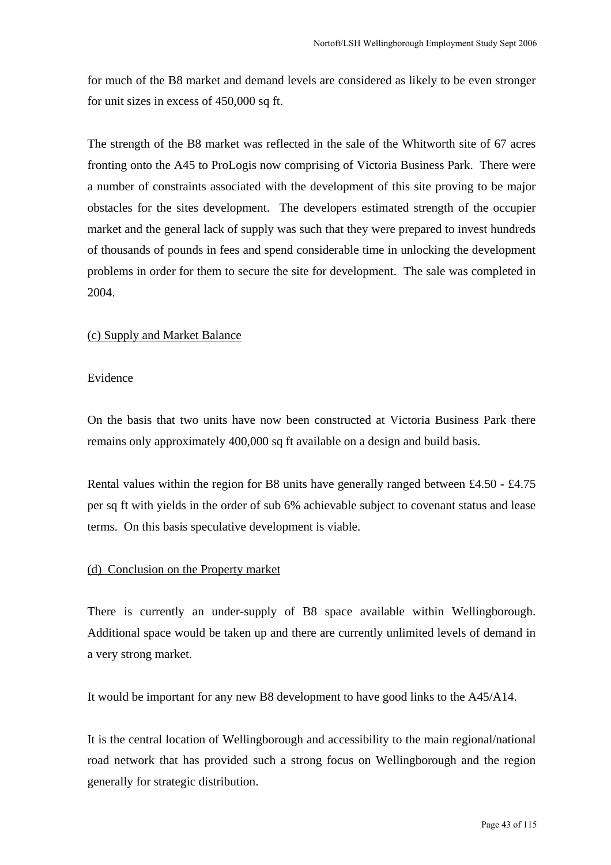for much of the B8 market and demand levels are considered as likely to be even stronger for unit sizes in excess of 450,000 sq ft.

The strength of the B8 market was reflected in the sale of the Whitworth site of 67 acres fronting onto the A45 to ProLogis now comprising of Victoria Business Park. There were a number of constraints associated with the development of this site proving to be major obstacles for the sites development. The developers estimated strength of the occupier market and the general lack of supply was such that they were prepared to invest hundreds of thousands of pounds in fees and spend considerable time in unlocking the development problems in order for them to secure the site for development. The sale was completed in 2004.

## (c) Supply and Market Balance

#### Evidence

On the basis that two units have now been constructed at Victoria Business Park there remains only approximately 400,000 sq ft available on a design and build basis.

Rental values within the region for B8 units have generally ranged between £4.50 - £4.75 per sq ft with yields in the order of sub 6% achievable subject to covenant status and lease terms. On this basis speculative development is viable.

## (d) Conclusion on the Property market

There is currently an under-supply of B8 space available within Wellingborough. Additional space would be taken up and there are currently unlimited levels of demand in a very strong market.

It would be important for any new B8 development to have good links to the A45/A14.

It is the central location of Wellingborough and accessibility to the main regional/national road network that has provided such a strong focus on Wellingborough and the region generally for strategic distribution.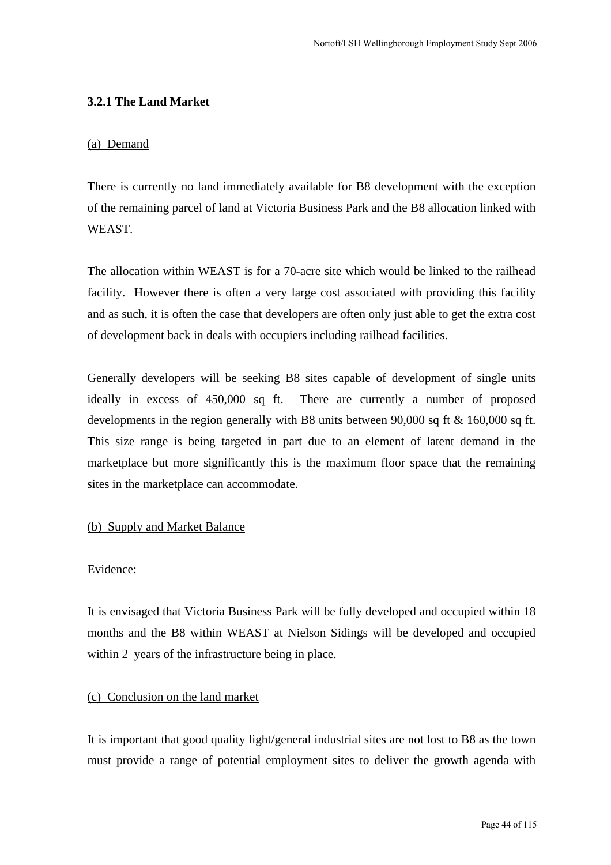## **3.2.1 The Land Market**

#### (a) Demand

There is currently no land immediately available for B8 development with the exception of the remaining parcel of land at Victoria Business Park and the B8 allocation linked with **WEAST** 

The allocation within WEAST is for a 70-acre site which would be linked to the railhead facility. However there is often a very large cost associated with providing this facility and as such, it is often the case that developers are often only just able to get the extra cost of development back in deals with occupiers including railhead facilities.

Generally developers will be seeking B8 sites capable of development of single units ideally in excess of 450,000 sq ft. There are currently a number of proposed developments in the region generally with B8 units between 90,000 sq ft & 160,000 sq ft. This size range is being targeted in part due to an element of latent demand in the marketplace but more significantly this is the maximum floor space that the remaining sites in the marketplace can accommodate.

## (b) Supply and Market Balance

## Evidence:

It is envisaged that Victoria Business Park will be fully developed and occupied within 18 months and the B8 within WEAST at Nielson Sidings will be developed and occupied within 2 years of the infrastructure being in place.

## (c) Conclusion on the land market

It is important that good quality light/general industrial sites are not lost to B8 as the town must provide a range of potential employment sites to deliver the growth agenda with